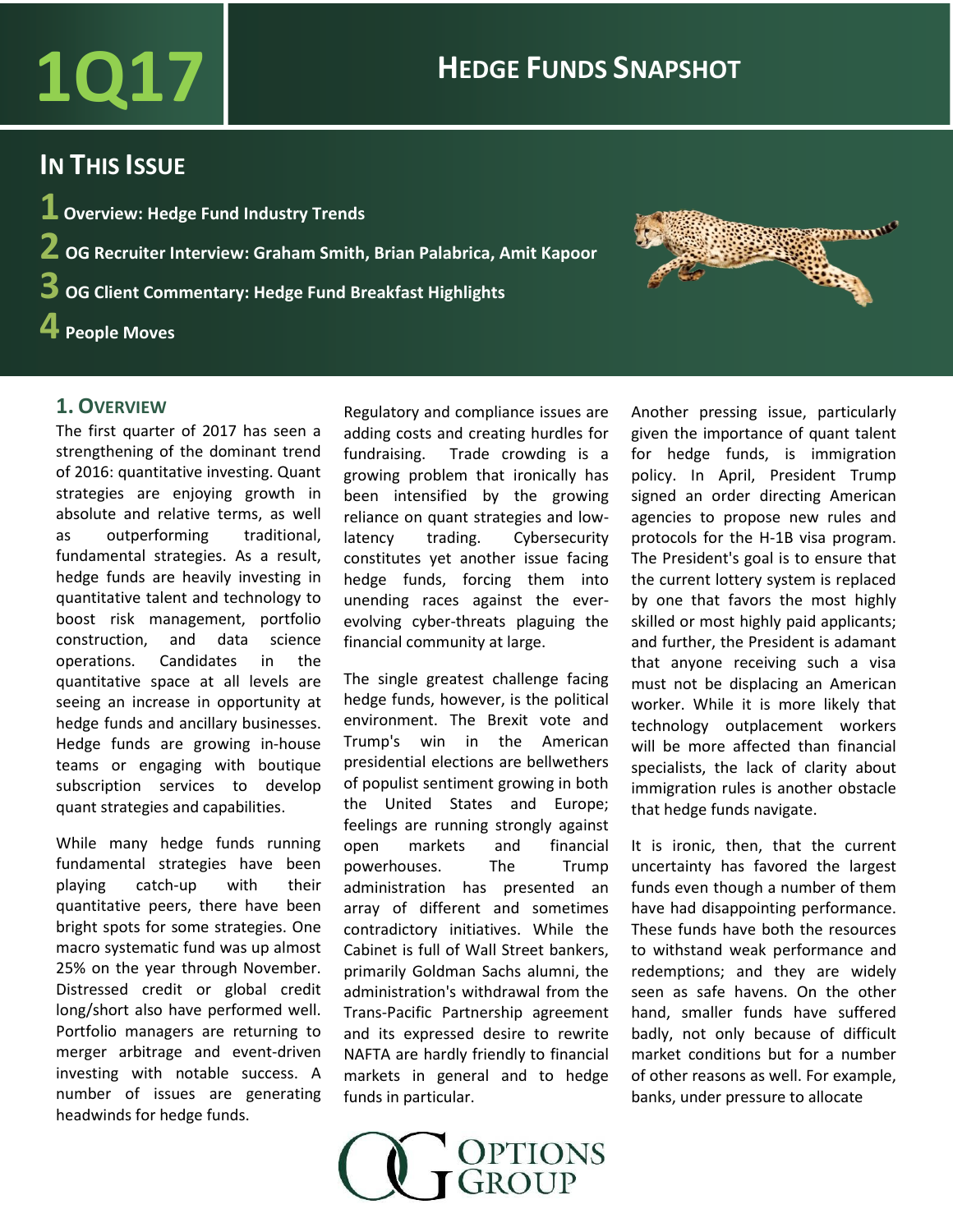# $\overline{1017}$  **HEDGE FUNDS SNAPSHOT**

### **IN THIS ISSUE**

 **Overview: Hedge Fund Industry Trends OG Recruiter Interview: Graham Smith, Brian Palabrica, Amit Kapoor OG Client Commentary: Hedge Fund Breakfast Highlights People Moves**

### **1. OVERVIEW**

The first quarter of 2017 has seen a strengthening of the dominant trend of 2016: quantitative investing. Quant strategies are enjoying growth in absolute and relative terms, as well as outperforming traditional, fundamental strategies. As a result, hedge funds are heavily investing in quantitative talent and technology to boost risk management, portfolio construction, and data science operations. Candidates in the quantitative space at all levels are seeing an increase in opportunity at hedge funds and ancillary businesses. Hedge funds are growing in-house teams or engaging with boutique subscription services to develop quant strategies and capabilities.

While many hedge funds running fundamental strategies have been playing catch-up with their quantitative peers, there have been bright spots for some strategies. One macro systematic fund was up almost 25% on the year through November. Distressed credit or global credit long/short also have performed well. Portfolio managers are returning to merger arbitrage and event-driven investing with notable success. A number of issues are generating headwinds for hedge funds.

Regulatory and compliance issues are adding costs and creating hurdles for fundraising. Trade crowding is a growing problem that ironically has been intensified by the growing reliance on quant strategies and lowlatency trading. Cybersecurity constitutes yet another issue facing hedge funds, forcing them into unending races against the everevolving cyber-threats plaguing the financial community at large.

The single greatest challenge facing hedge funds, however, is the political environment. The Brexit vote and Trump's win in the American presidential elections are bellwethers of populist sentiment growing in both the United States and Europe; feelings are running strongly against open markets and financial powerhouses. The Trump administration has presented an array of different and sometimes contradictory initiatives. While the Cabinet is full of Wall Street bankers, primarily Goldman Sachs alumni, the administration's withdrawal from the Trans-Pacific Partnership agreement and its expressed desire to rewrite NAFTA are hardly friendly to financial markets in general and to hedge funds in particular.



Another pressing issue, particularly given the importance of quant talent for hedge funds, is immigration policy. In April, President Trump signed an order directing American agencies to propose new rules and protocols for the H-1B visa program. The President's goal is to ensure that the current lottery system is replaced by one that favors the most highly skilled or most highly paid applicants; and further, the President is adamant that anyone receiving such a visa must not be displacing an American worker. While it is more likely that technology outplacement workers will be more affected than financial specialists, the lack of clarity about immigration rules is another obstacle that hedge funds navigate.

**SERBANDING** 

It is ironic, then, that the current uncertainty has favored the largest funds even though a number of them have had disappointing performance. These funds have both the resources to withstand weak performance and redemptions; and they are widely seen as safe havens. On the other hand, smaller funds have suffered badly, not only because of difficult market conditions but for a number of other reasons as well. For example, banks, under pressure to allocate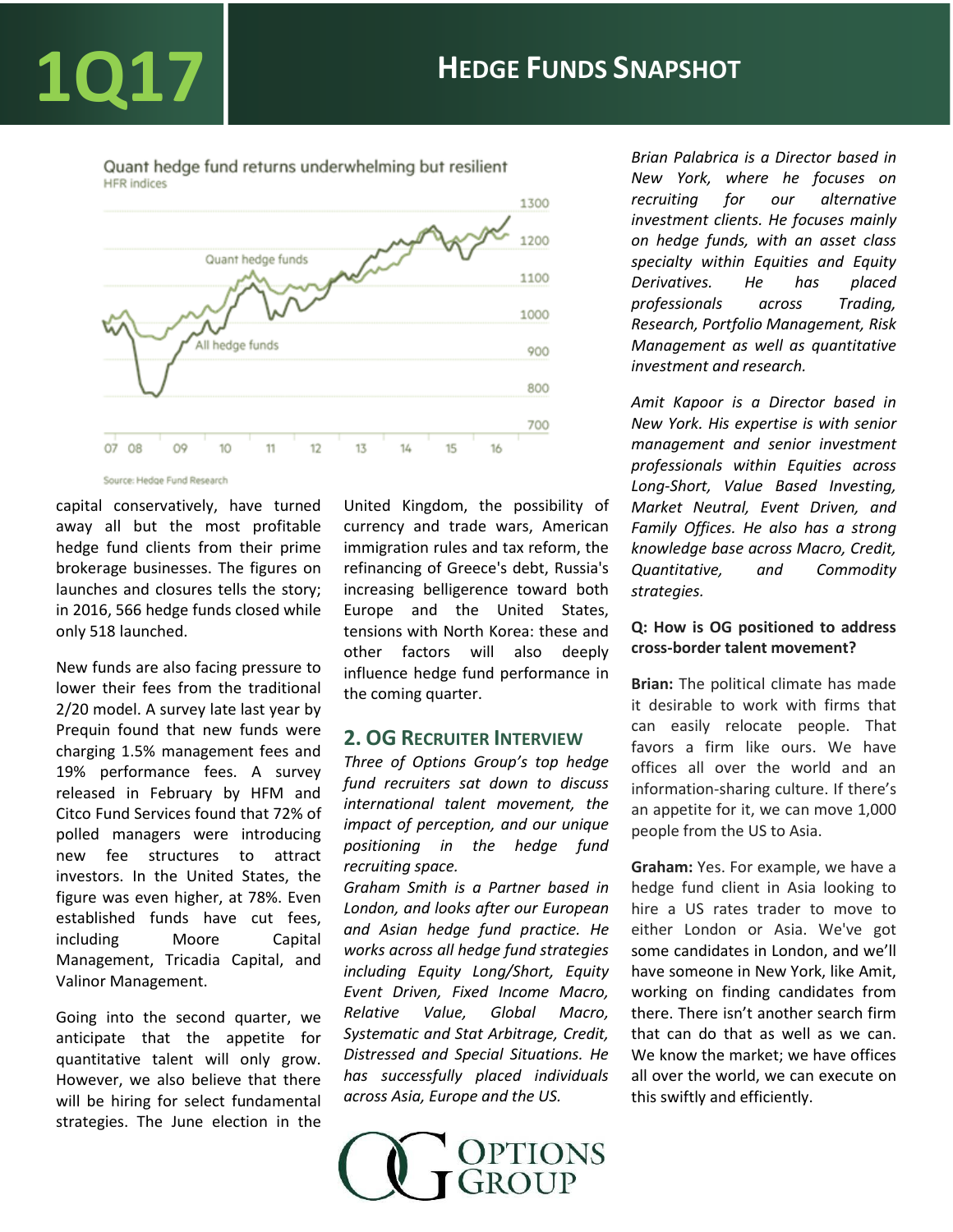Quant hedge fund returns underwhelming but resilient **HFR** indices



Source: Hedge Fund Research

capital conservatively, have turned away all but the most profitable hedge fund clients from their prime brokerage businesses. The figures on launches and closures tells the story; in 2016, 566 hedge funds closed while only 518 launched.

New funds are also facing pressure to lower their fees from the traditional 2/20 model. A survey late last year by Prequin found that new funds were charging 1.5% management fees and 19% performance fees. A survey released in February by HFM and Citco Fund Services found that 72% of polled managers were introducing new fee structures to attract investors. In the United States, the figure was even higher, at 78%. Even established funds have cut fees, including Moore Capital Management, Tricadia Capital, and Valinor Management.

Going into the second quarter, we anticipate that the appetite for quantitative talent will only grow. However, we also believe that there will be hiring for select fundamental strategies. The June election in the United Kingdom, the possibility of currency and trade wars, American immigration rules and tax reform, the refinancing of Greece's debt, Russia's increasing belligerence toward both Europe and the United States, tensions with North Korea: these and other factors will also deeply influence hedge fund performance in the coming quarter.

### **2. OG RECRUITER INTERVIEW**

*Three of Options Group's top hedge fund recruiters sat down to discuss international talent movement, the impact of perception, and our unique positioning in the hedge fund recruiting space. Graham Smith is a Partner based in London, and looks after our European and Asian hedge fund practice. He works across all hedge fund strategies including Equity Long/Short, Equity Event Driven, Fixed Income Macro, Relative Value, Global Macro, Systematic and Stat Arbitrage, Credit, Distressed and Special Situations. He has successfully placed individuals across Asia, Europe and the US.*



*Brian Palabrica is a Director based in New York, where he focuses on recruiting for our alternative investment clients. He focuses mainly on hedge funds, with an asset class specialty within Equities and Equity Derivatives. He has placed professionals across Trading, Research, Portfolio Management, Risk Management as well as quantitative investment and research.* 

*Amit Kapoor is a Director based in New York. His expertise is with senior management and senior investment professionals within Equities across Long-Short, Value Based Investing, Market Neutral, Event Driven, and Family Offices. He also has a strong knowledge base across Macro, Credit, Quantitative, and Commodity strategies.* 

### **Q: How is OG positioned to address cross-border talent movement?**

**Brian:** The political climate has made it desirable to work with firms that can easily relocate people. That favors a firm like ours. We have offices all over the world and an information-sharing culture. If there's an appetite for it, we can move 1,000 people from the US to Asia.

**Graham:** Yes. For example, we have a hedge fund client in Asia looking to hire a US rates trader to move to either London or Asia. We've got some candidates in London, and we'll have someone in New York, like Amit, working on finding candidates from there. There isn't another search firm that can do that as well as we can. We know the market; we have offices all over the world, we can execute on this swiftly and efficiently.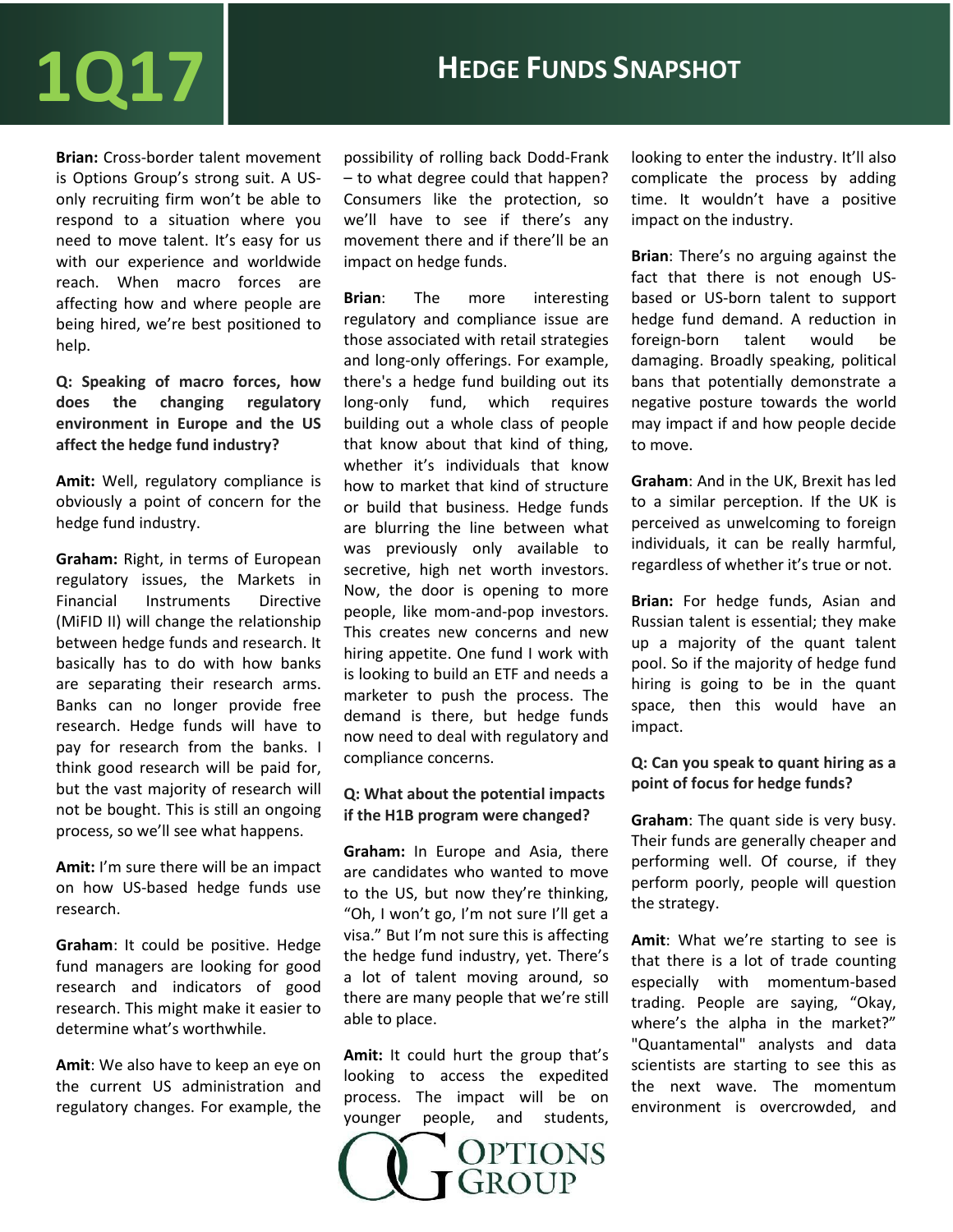# $1017$  **Hedge Funds Snapshot**

**Brian:** Cross-border talent movement is Options Group's strong suit. A USonly recruiting firm won't be able to respond to a situation where you need to move talent. It's easy for us with our experience and worldwide reach. When macro forces are affecting how and where people are being hired, we're best positioned to help.

**Q: Speaking of macro forces, how does the changing regulatory environment in Europe and the US affect the hedge fund industry?**

**Amit:** Well, regulatory compliance is obviously a point of concern for the hedge fund industry.

**Graham:** Right, in terms of European regulatory issues, the Markets in Financial Instruments Directive (MiFID II) will change the relationship between hedge funds and research. It basically has to do with how banks are separating their research arms. Banks can no longer provide free research. Hedge funds will have to pay for research from the banks. I think good research will be paid for, but the vast majority of research will not be bought. This is still an ongoing process, so we'll see what happens.

**Amit:** I'm sure there will be an impact on how US-based hedge funds use research.

**Graham**: It could be positive. Hedge fund managers are looking for good research and indicators of good research. This might make it easier to determine what's worthwhile.

**Amit**: We also have to keep an eye on the current US administration and regulatory changes. For example, the

possibility of rolling back Dodd-Frank – to what degree could that happen? Consumers like the protection, so we'll have to see if there's any movement there and if there'll be an impact on hedge funds.

**Brian**: The more interesting regulatory and compliance issue are those associated with retail strategies and long-only offerings. For example, there's a hedge fund building out its long-only fund, which requires building out a whole class of people that know about that kind of thing, whether it's individuals that know how to market that kind of structure or build that business. Hedge funds are blurring the line between what was previously only available to secretive, high net worth investors. Now, the door is opening to more people, like mom-and-pop investors. This creates new concerns and new hiring appetite. One fund I work with is looking to build an ETF and needs a marketer to push the process. The demand is there, but hedge funds now need to deal with regulatory and compliance concerns.

### **Q: What about the potential impacts if the H1B program were changed?**

**Graham:** In Europe and Asia, there are candidates who wanted to move to the US, but now they're thinking, "Oh, I won't go, I'm not sure I'll get a visa." But I'm not sure this is affecting the hedge fund industry, yet. There's a lot of talent moving around, so there are many people that we're still able to place.

**Amit:** It could hurt the group that's looking to access the expedited process. The impact will be on younger people, and students,



looking to enter the industry. It'll also complicate the process by adding time. It wouldn't have a positive impact on the industry.

**Brian**: There's no arguing against the fact that there is not enough USbased or US-born talent to support hedge fund demand. A reduction in foreign-born talent would be damaging. Broadly speaking, political bans that potentially demonstrate a negative posture towards the world may impact if and how people decide to move.

**Graham**: And in the UK, Brexit has led to a similar perception. If the UK is perceived as unwelcoming to foreign individuals, it can be really harmful, regardless of whether it's true or not.

**Brian:** For hedge funds, Asian and Russian talent is essential; they make up a majority of the quant talent pool. So if the majority of hedge fund hiring is going to be in the quant space, then this would have an impact.

### **Q: Can you speak to quant hiring as a point of focus for hedge funds?**

**Graham**: The quant side is very busy. Their funds are generally cheaper and performing well. Of course, if they perform poorly, people will question the strategy.

**Amit**: What we're starting to see is that there is a lot of trade counting especially with momentum-based trading. People are saying, "Okay, where's the alpha in the market?" "Quantamental" analysts and data scientists are starting to see this as the next wave. The momentum environment is overcrowded, and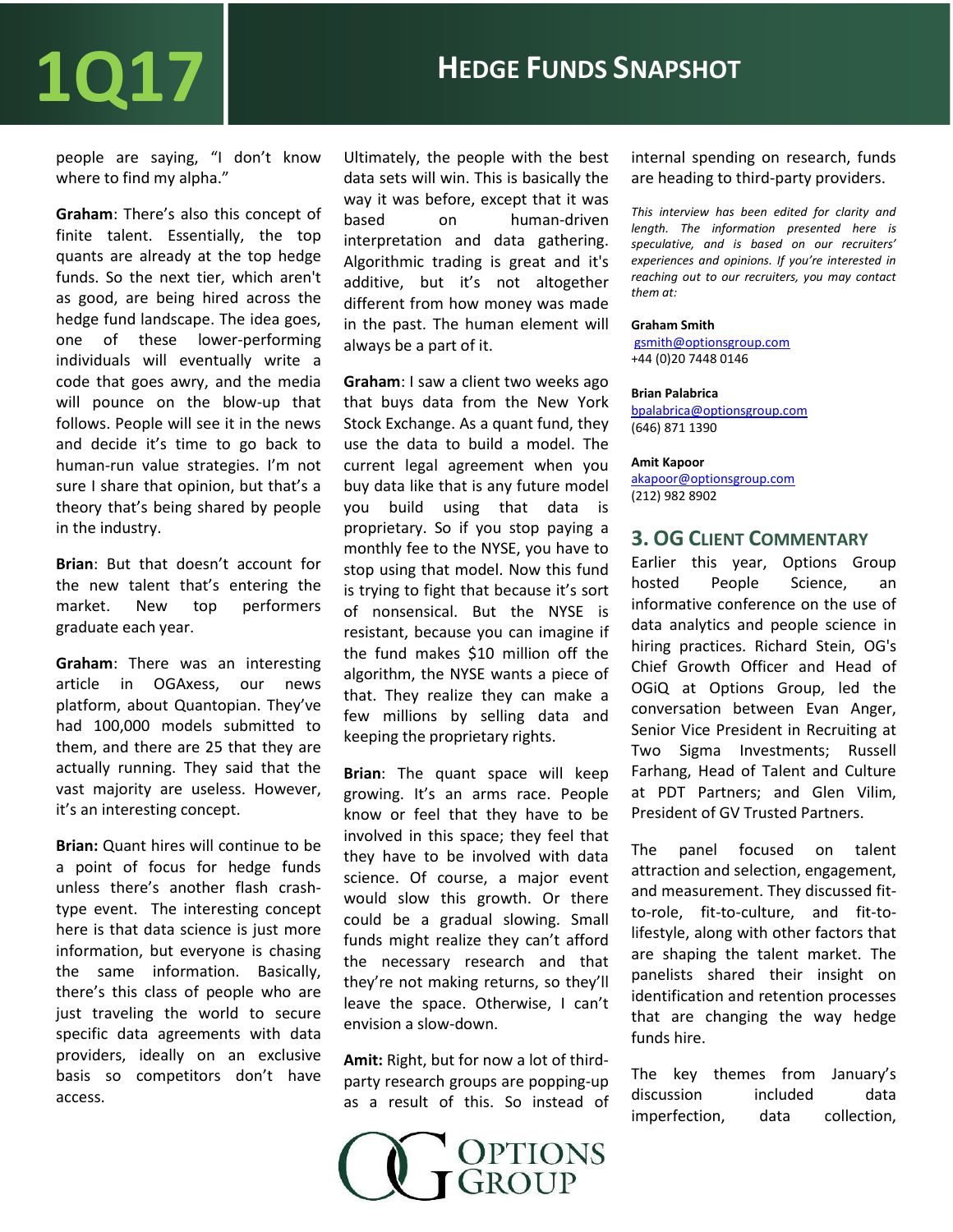## $1017$  **Hedge Funds Snapshot**

people are saying, "I don't know where to find my alpha."

**Graham**: There's also this concept of finite talent. Essentially, the top quants are already at the top hedge funds. So the next tier, which aren't as good, are being hired across the hedge fund landscape. The idea goes, one of these lower-performing individuals will eventually write a code that goes awry, and the media will pounce on the blow-up that follows. People will see it in the news and decide it's time to go back to human-run value strategies. I'm not sure I share that opinion, but that's a theory that's being shared by people in the industry.

**Brian**: But that doesn't account for the new talent that's entering the market. New top performers graduate each year.

**Graham**: There was an interesting article in OGAxess, our news platform, about Quantopian. They've had 100,000 models submitted to them, and there are 25 that they are actually running. They said that the vast majority are useless. However, it's an interesting concept.

**Brian:** Quant hires will continue to be a point of focus for hedge funds unless there's another flash crashtype event. The interesting concept here is that data science is just more information, but everyone is chasing the same information. Basically, there's this class of people who are just traveling the world to secure specific data agreements with data providers, ideally on an exclusive basis so competitors don't have access.

Ultimately, the people with the best data sets will win. This is basically the way it was before, except that it was based on human-driven interpretation and data gathering. Algorithmic trading is great and it's additive, but it's not altogether different from how money was made in the past. The human element will always be a part of it.

**Graham**: I saw a client two weeks ago that buys data from the New York Stock Exchange. As a quant fund, they use the data to build a model. The current legal agreement when you buy data like that is any future model you build using that data is proprietary. So if you stop paying a monthly fee to the NYSE, you have to stop using that model. Now this fund is trying to fight that because it's sort of nonsensical. But the NYSE is resistant, because you can imagine if the fund makes \$10 million off the algorithm, the NYSE wants a piece of that. They realize they can make a few millions by selling data and keeping the proprietary rights.

**Brian**: The quant space will keep growing. It's an arms race. People know or feel that they have to be involved in this space; they feel that they have to be involved with data science. Of course, a major event would slow this growth. Or there could be a gradual slowing. Small funds might realize they can't afford the necessary research and that they're not making returns, so they'll leave the space. Otherwise, I can't envision a slow-down.

**Amit:** Right, but for now a lot of thirdparty research groups are popping-up as a result of this. So instead of



internal spending on research, funds are heading to third-party providers.

*This interview has been edited for clarity and length. The information presented here is speculative, and is based on our recruiters' experiences and opinions. If you're interested in reaching out to our recruiters, you may contact them at:*

### **Graham Smith**

[gsmith@optionsgroup.com](mailto:gsmith@optionsgroup.com) +44 (0)20 7448 0146

### **Brian Palabrica**

[bpalabrica@optionsgroup.com](mailto:bpalabrica@optionsgroup.com) (646) 871 1390

#### **Amit Kapoor**

[akapoor@optionsgroup.com](mailto:akapoor@optionsgroup.com) (212) 982 8902

### **3. OG CLIENT COMMENTARY**

Earlier this year, Options Group hosted People Science, an informative conference on the use of data analytics and people science in hiring practices. Richard Stein, OG's Chief Growth Officer and Head of OGiQ at Options Group, led the conversation between Evan Anger, Senior Vice President in Recruiting at Two Sigma Investments; Russell Farhang, Head of Talent and Culture at PDT Partners; and Glen Vilim, President of GV Trusted Partners.

The panel focused on talent attraction and selection, engagement, and measurement. They discussed fitto-role, fit-to-culture, and fit-tolifestyle, along with other factors that are shaping the talent market. The panelists shared their insight on identification and retention processes that are changing the way hedge funds hire.

The key themes from January's discussion included data imperfection, data collection,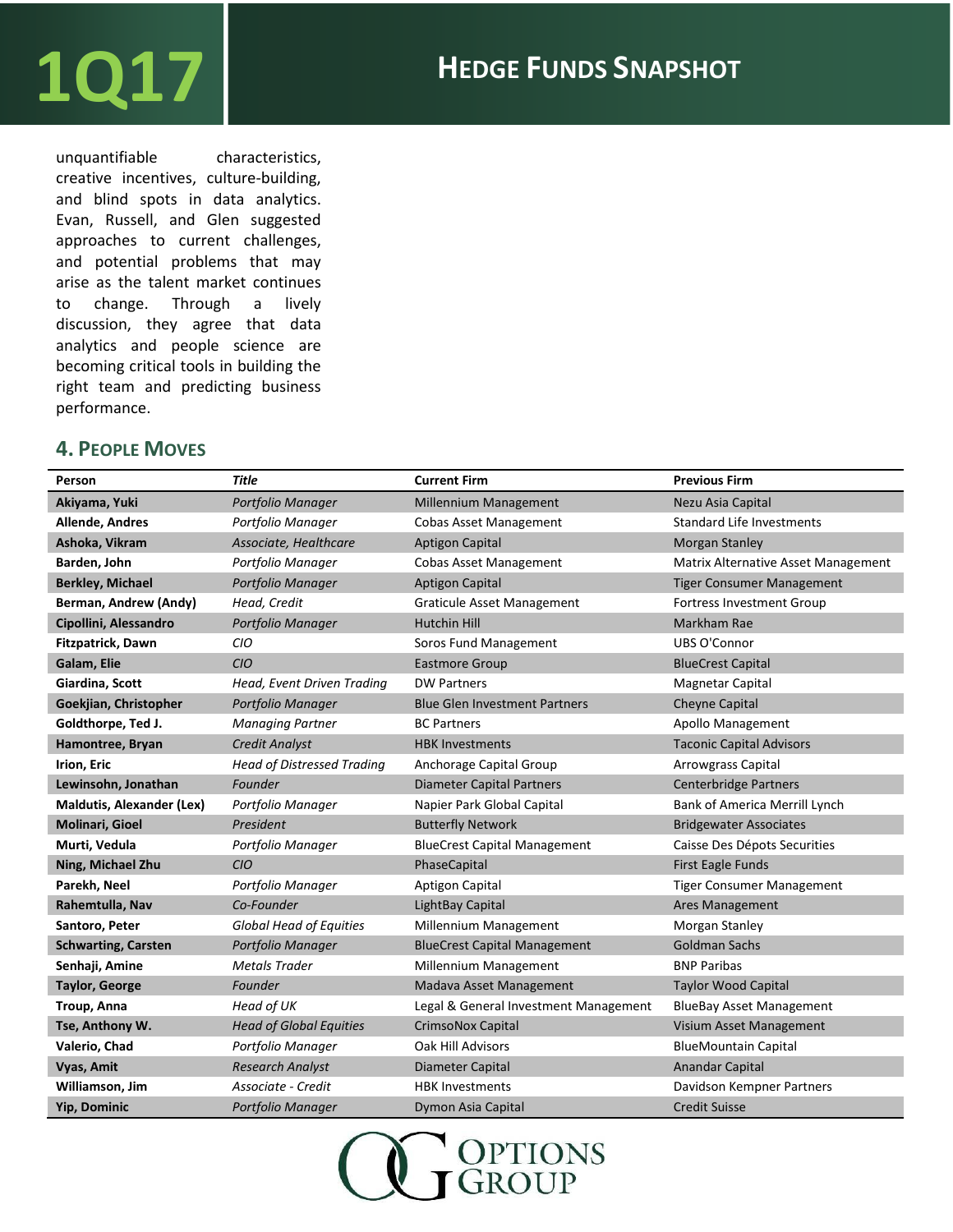## $1017$  **Hedge Funds SNAPSHOT**

unquantifiable characteristics, creative incentives, culture-building, and blind spots in data analytics. Evan, Russell, and Glen suggested approaches to current challenges, and potential problems that may arise as the talent market continues to change. Through a lively discussion, they agree that data analytics and people science are becoming critical tools in building the right team and predicting business performance.

### **4. PEOPLE MOVES**

| Person                           | <b>Title</b>                      | <b>Current Firm</b>                   | <b>Previous Firm</b>                 |
|----------------------------------|-----------------------------------|---------------------------------------|--------------------------------------|
| Akiyama, Yuki                    | Portfolio Manager                 | Millennium Management                 | Nezu Asia Capital                    |
| Allende, Andres                  | Portfolio Manager                 | <b>Cobas Asset Management</b>         | <b>Standard Life Investments</b>     |
| Ashoka, Vikram                   | Associate, Healthcare             | <b>Aptigon Capital</b>                | <b>Morgan Stanley</b>                |
| Barden, John                     | Portfolio Manager                 | <b>Cobas Asset Management</b>         | Matrix Alternative Asset Management  |
| <b>Berkley, Michael</b>          | Portfolio Manager                 | <b>Aptigon Capital</b>                | <b>Tiger Consumer Management</b>     |
| Berman, Andrew (Andy)            | Head, Credit                      | <b>Graticule Asset Management</b>     | <b>Fortress Investment Group</b>     |
| Cipollini, Alessandro            | Portfolio Manager                 | <b>Hutchin Hill</b>                   | Markham Rae                          |
| Fitzpatrick, Dawn                | CIO                               | Soros Fund Management                 | <b>UBS O'Connor</b>                  |
| Galam, Elie                      | <b>CIO</b>                        | <b>Eastmore Group</b>                 | <b>BlueCrest Capital</b>             |
| Giardina, Scott                  | Head, Event Driven Trading        | <b>DW Partners</b>                    | <b>Magnetar Capital</b>              |
| Goekjian, Christopher            | Portfolio Manager                 | <b>Blue Glen Investment Partners</b>  | <b>Cheyne Capital</b>                |
| Goldthorpe, Ted J.               | <b>Managing Partner</b>           | <b>BC Partners</b>                    | Apollo Management                    |
| Hamontree, Bryan                 | <b>Credit Analyst</b>             | <b>HBK Investments</b>                | <b>Taconic Capital Advisors</b>      |
| Irion, Eric                      | <b>Head of Distressed Trading</b> | Anchorage Capital Group               | Arrowgrass Capital                   |
| Lewinsohn, Jonathan              | Founder                           | <b>Diameter Capital Partners</b>      | <b>Centerbridge Partners</b>         |
| <b>Maldutis, Alexander (Lex)</b> | Portfolio Manager                 | Napier Park Global Capital            | <b>Bank of America Merrill Lynch</b> |
| Molinari, Gioel                  | President                         | <b>Butterfly Network</b>              | <b>Bridgewater Associates</b>        |
| Murti, Vedula                    | Portfolio Manager                 | <b>BlueCrest Capital Management</b>   | Caisse Des Dépots Securities         |
| Ning, Michael Zhu                | <b>CIO</b>                        | PhaseCapital                          | <b>First Eagle Funds</b>             |
| Parekh, Neel                     | Portfolio Manager                 | Aptigon Capital                       | <b>Tiger Consumer Management</b>     |
| Rahemtulla, Nav                  | Co-Founder                        | LightBay Capital                      | <b>Ares Management</b>               |
| Santoro, Peter                   | <b>Global Head of Equities</b>    | Millennium Management                 | Morgan Stanley                       |
| <b>Schwarting, Carsten</b>       | Portfolio Manager                 | <b>BlueCrest Capital Management</b>   | <b>Goldman Sachs</b>                 |
| Senhaji, Amine                   | <b>Metals Trader</b>              | Millennium Management                 | <b>BNP Paribas</b>                   |
| <b>Taylor, George</b>            | Founder                           | Madava Asset Management               | <b>Taylor Wood Capital</b>           |
| Troup, Anna                      | Head of UK                        | Legal & General Investment Management | <b>BlueBay Asset Management</b>      |
| Tse, Anthony W.                  | <b>Head of Global Equities</b>    | <b>CrimsoNox Capital</b>              | Visium Asset Management              |
| Valerio, Chad                    | Portfolio Manager                 | Oak Hill Advisors                     | <b>BlueMountain Capital</b>          |
| Vyas, Amit                       | <b>Research Analyst</b>           | Diameter Capital                      | <b>Anandar Capital</b>               |
| Williamson, Jim                  | Associate - Credit                | <b>HBK Investments</b>                | Davidson Kempner Partners            |
| <b>Yip, Dominic</b>              | Portfolio Manager                 | Dymon Asia Capital                    | <b>Credit Suisse</b>                 |

OPTIONS<br>GROUP